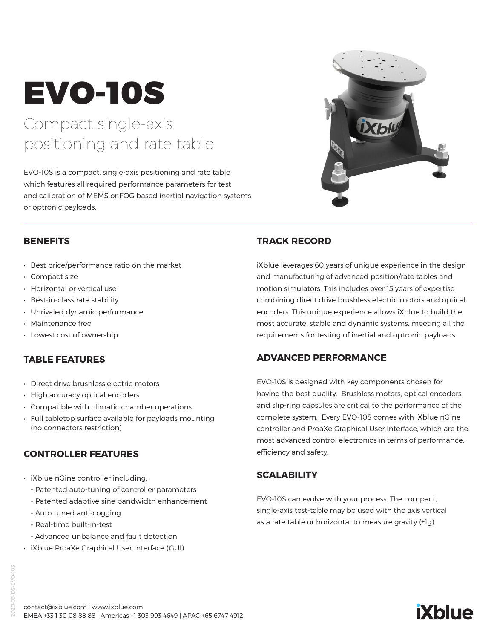# EVO-10S

## Compact single-axis positioning and rate table

EVO-10S is a compact, single-axis positioning and rate table which features all required performance parameters for test and calibration of MEMS or FOG based inertial navigation systems or optronic payloads.



- Best price/performance ratio on the market
- Compact size
- Horizontal or vertical use
- Best-in-class rate stability
- Unrivaled dynamic performance
- Maintenance free
- Lowest cost of ownership

#### **TABLE FEATURES**

- Direct drive brushless electric motors
- High accuracy optical encoders
- Compatible with climatic chamber operations
- Full tabletop surface available for payloads mounting (no connectors restriction)

#### **CONTROLLER FEATURES**

- iXblue nGine controller including:
	- Patented auto-tuning of controller parameters
	- Patented adaptive sine bandwidth enhancement
	- Auto tuned anti-cogging
	- Real-time built-in-test
	- Advanced unbalance and fault detection
- iXblue ProaXe Graphical User Interface (GUI)

### **TRACK RECORD**

iXblue leverages 60 years of unique experience in the design and manufacturing of advanced position/rate tables and motion simulators. This includes over 15 years of expertise combining direct drive brushless electric motors and optical encoders. This unique experience allows iXblue to build the most accurate, stable and dynamic systems, meeting all the requirements for testing of inertial and optronic payloads.

#### **ADVANCED PERFORMANCE**

EVO-10S is designed with key components chosen for having the best quality. Brushless motors, optical encoders and slip-ring capsules are critical to the performance of the complete system. Every EVO-10S comes with iXblue nGine controller and ProaXe Graphical User Interface, which are the most advanced control electronics in terms of performance, efficiency and safety.

#### **SCALABILITY**

EVO-10S can evolve with your process. The compact, single-axis test-table may be used with the axis vertical as a rate table or horizontal to measure gravity (±1g).



contact@ixblue.com | www.ixblue.com EMEA +33 1 30 08 88 88 | Americas +1 303 993 4649 | APAC +65 6747 4912

# **iXblue**